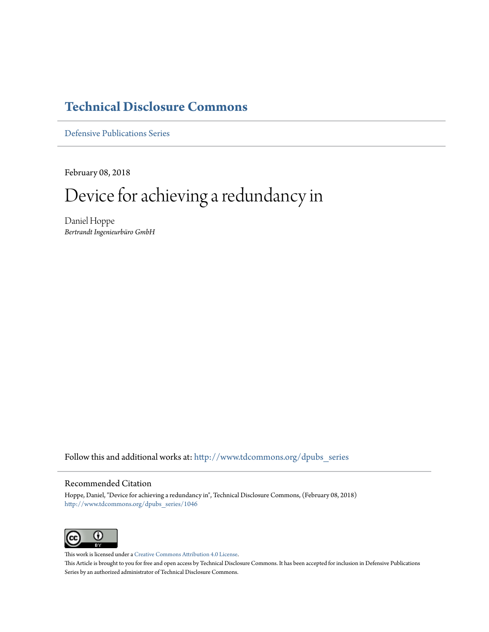# **[Technical Disclosure Commons](http://www.tdcommons.org?utm_source=www.tdcommons.org%2Fdpubs_series%2F1046&utm_medium=PDF&utm_campaign=PDFCoverPages)**

[Defensive Publications Series](http://www.tdcommons.org/dpubs_series?utm_source=www.tdcommons.org%2Fdpubs_series%2F1046&utm_medium=PDF&utm_campaign=PDFCoverPages)

February 08, 2018

# Device for achieving a redundancy in

Daniel Hoppe *Bertrandt Ingenieurbüro GmbH*

Follow this and additional works at: [http://www.tdcommons.org/dpubs\\_series](http://www.tdcommons.org/dpubs_series?utm_source=www.tdcommons.org%2Fdpubs_series%2F1046&utm_medium=PDF&utm_campaign=PDFCoverPages)

# Recommended Citation

Hoppe, Daniel, "Device for achieving a redundancy in", Technical Disclosure Commons, (February 08, 2018) [http://www.tdcommons.org/dpubs\\_series/1046](http://www.tdcommons.org/dpubs_series/1046?utm_source=www.tdcommons.org%2Fdpubs_series%2F1046&utm_medium=PDF&utm_campaign=PDFCoverPages)



This work is licensed under a [Creative Commons Attribution 4.0 License.](http://creativecommons.org/licenses/by/4.0/deed.en_US) This Article is brought to you for free and open access by Technical Disclosure Commons. It has been accepted for inclusion in Defensive Publications Series by an authorized administrator of Technical Disclosure Commons.